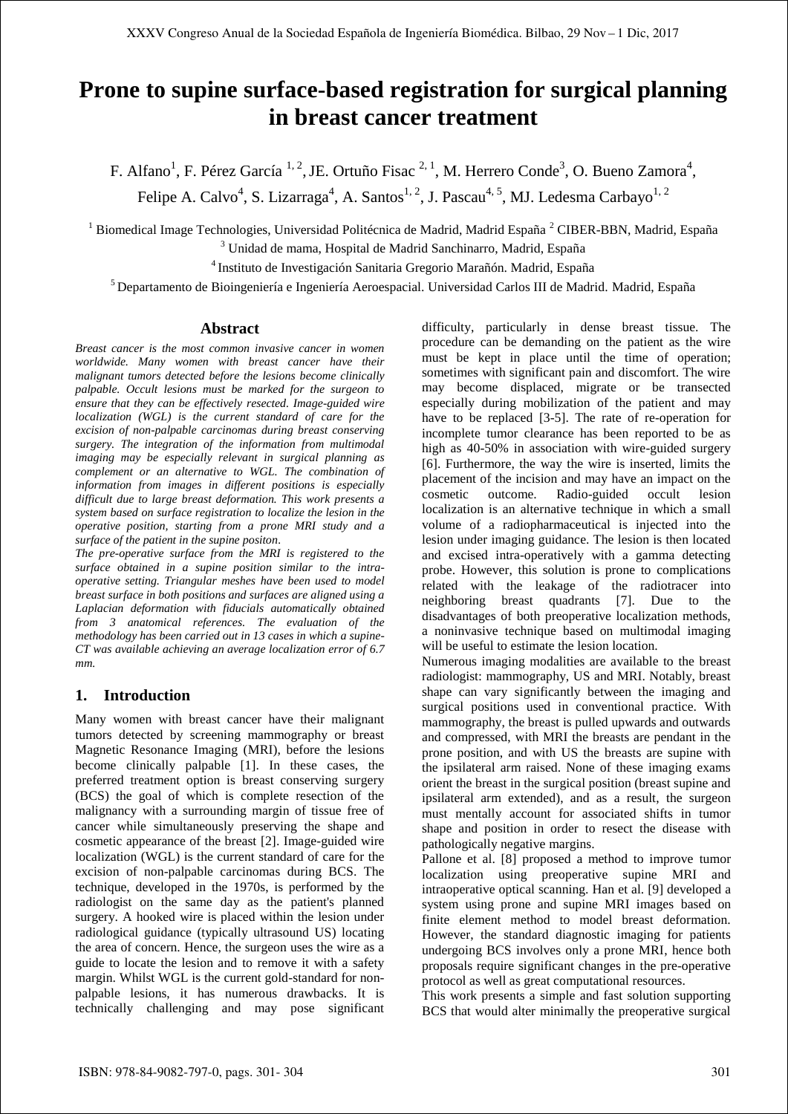# **Prone to supine surface-based registration for surgical planning in breast cancer treatment**

F. Alfano<sup>1</sup>, F. Pérez García<sup>1, 2</sup>, JE. Ortuño Fisac<sup>2, 1</sup>, M. Herrero Conde<sup>3</sup>, O. Bueno Zamora<sup>4</sup>, Felipe A. Calvo<sup>4</sup>, S. Lizarraga<sup>4</sup>, A. Santos<sup>1, 2</sup>, J. Pascau<sup>4, 5</sup>, MJ. Ledesma Carbayo<sup>1, 2</sup>

<sup>1</sup> Biomedical Image Technologies, Universidad Politécnica de Madrid, Madrid España <sup>2</sup> CIBER-BBN, Madrid, España

<sup>3</sup> Unidad de mama, Hospital de Madrid Sanchinarro, Madrid, España

<sup>4</sup>Instituto de Investigación Sanitaria Gregorio Marañón. Madrid, España

<sup>5</sup> Departamento de Bioingeniería e Ingeniería Aeroespacial. Universidad Carlos III de Madrid. Madrid, España

#### **Abstract**

*Breast cancer is the most common invasive cancer in women worldwide. Many women with breast cancer have their malignant tumors detected before the lesions become clinically palpable. Occult lesions must be marked for the surgeon to ensure that they can be effectively resected. Image-guided wire localization (WGL) is the current standard of care for the excision of non-palpable carcinomas during breast conserving surgery. The integration of the information from multimodal imaging may be especially relevant in surgical planning as complement or an alternative to WGL. The combination of information from images in different positions is especially difficult due to large breast deformation. This work presents a system based on surface registration to localize the lesion in the operative position, starting from a prone MRI study and a surface of the patient in the supine positon.* 

*The pre-operative surface from the MRI is registered to the surface obtained in a supine position similar to the intraoperative setting. Triangular meshes have been used to model breast surface in both positions and surfaces are aligned using a Laplacian deformation with fiducials automatically obtained from 3 anatomical references. The evaluation of the methodology has been carried out in 13 cases in which a supine-CT was available achieving an average localization error of 6.7 mm.* 

## **1. Introduction**

Many women with breast cancer have their malignant tumors detected by screening mammography or breast Magnetic Resonance Imaging (MRI), before the lesions become clinically palpable [1]. In these cases, the preferred treatment option is breast conserving surgery (BCS) the goal of which is complete resection of the malignancy with a surrounding margin of tissue free of cancer while simultaneously preserving the shape and cosmetic appearance of the breast [2]. Image-guided wire localization (WGL) is the current standard of care for the excision of non-palpable carcinomas during BCS. The technique, developed in the 1970s, is performed by the radiologist on the same day as the patient's planned surgery. A hooked wire is placed within the lesion under radiological guidance (typically ultrasound US) locating the area of concern. Hence, the surgeon uses the wire as a guide to locate the lesion and to remove it with a safety margin. Whilst WGL is the current gold-standard for nonpalpable lesions, it has numerous drawbacks. It is technically challenging and may pose significant

difficulty, particularly in dense breast tissue. The procedure can be demanding on the patient as the wire must be kept in place until the time of operation; sometimes with significant pain and discomfort. The wire may become displaced, migrate or be transected especially during mobilization of the patient and may have to be replaced [3-5]. The rate of re-operation for incomplete tumor clearance has been reported to be as high as 40-50% in association with wire-guided surgery [6]. Furthermore, the way the wire is inserted, limits the placement of the incision and may have an impact on the cosmetic outcome. Radio-guided occult lesion localization is an alternative technique in which a small volume of a radiopharmaceutical is injected into the lesion under imaging guidance. The lesion is then located and excised intra-operatively with a gamma detecting probe. However, this solution is prone to complications related with the leakage of the radiotracer into neighboring breast quadrants [7]. Due to the disadvantages of both preoperative localization methods, a noninvasive technique based on multimodal imaging will be useful to estimate the lesion location.

Numerous imaging modalities are available to the breast radiologist: mammography, US and MRI. Notably, breast shape can vary significantly between the imaging and surgical positions used in conventional practice. With mammography, the breast is pulled upwards and outwards and compressed, with MRI the breasts are pendant in the prone position, and with US the breasts are supine with the ipsilateral arm raised. None of these imaging exams orient the breast in the surgical position (breast supine and ipsilateral arm extended), and as a result, the surgeon must mentally account for associated shifts in tumor shape and position in order to resect the disease with pathologically negative margins.

Pallone et al. [8] proposed a method to improve tumor localization using preoperative supine MRI and intraoperative optical scanning. Han et al. [9] developed a system using prone and supine MRI images based on finite element method to model breast deformation. However, the standard diagnostic imaging for patients undergoing BCS involves only a prone MRI, hence both proposals require significant changes in the pre-operative protocol as well as great computational resources.

This work presents a simple and fast solution supporting BCS that would alter minimally the preoperative surgical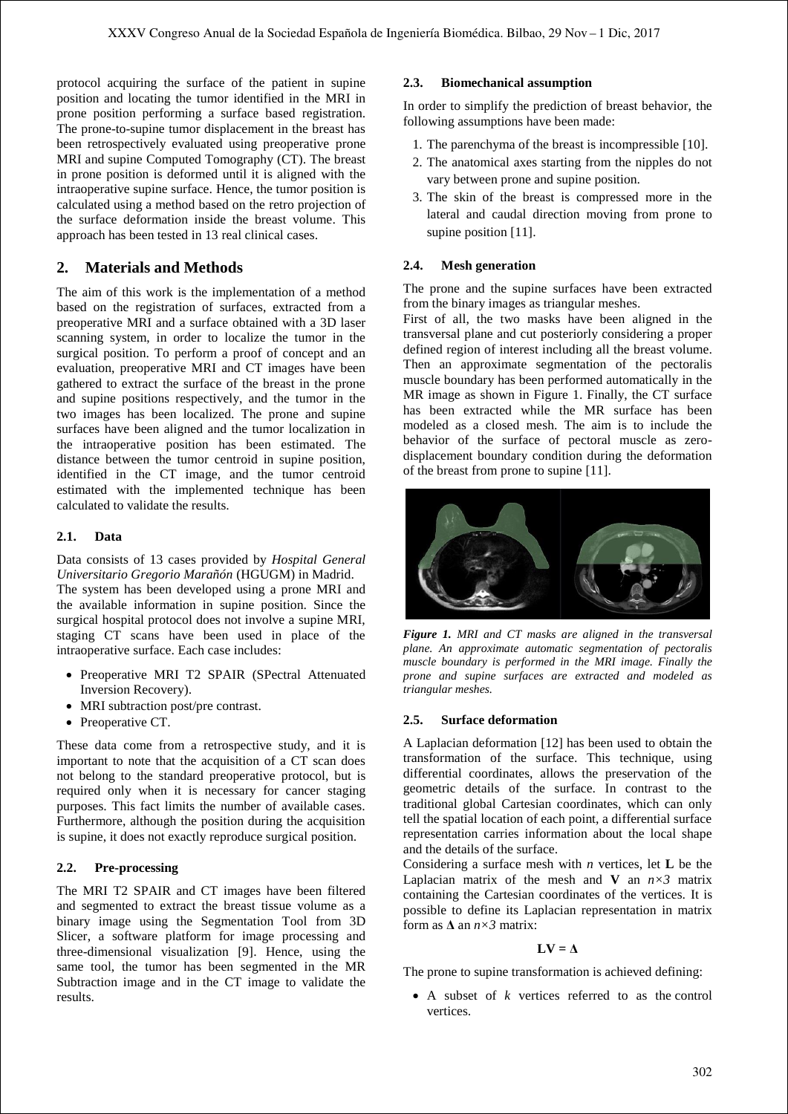protocol acquiring the surface of the patient in supine position and locating the tumor identified in the MRI in prone position performing a surface based registration. The prone-to-supine tumor displacement in the breast has been retrospectively evaluated using preoperative prone MRI and supine Computed Tomography (CT). The breast in prone position is deformed until it is aligned with the intraoperative supine surface. Hence, the tumor position is calculated using a method based on the retro projection of the surface deformation inside the breast volume. This approach has been tested in 13 real clinical cases.

## **2. Materials and Methods**

The aim of this work is the implementation of a method based on the registration of surfaces, extracted from a preoperative MRI and a surface obtained with a 3D laser scanning system, in order to localize the tumor in the surgical position. To perform a proof of concept and an evaluation, preoperative MRI and CT images have been gathered to extract the surface of the breast in the prone and supine positions respectively, and the tumor in the two images has been localized. The prone and supine surfaces have been aligned and the tumor localization in the intraoperative position has been estimated. The distance between the tumor centroid in supine position, identified in the CT image, and the tumor centroid estimated with the implemented technique has been calculated to validate the results.

## **2.1. Data**

Data consists of 13 cases provided by *Hospital General Universitario Gregorio Marañón* (HGUGM) in Madrid. The system has been developed using a prone MRI and the available information in supine position. Since the surgical hospital protocol does not involve a supine MRI, staging CT scans have been used in place of the intraoperative surface. Each case includes:

- Preoperative MRI T2 SPAIR (SPectral Attenuated Inversion Recovery).
- MRI subtraction post/pre contrast.
- Preoperative CT.

These data come from a retrospective study, and it is important to note that the acquisition of a CT scan does not belong to the standard preoperative protocol, but is required only when it is necessary for cancer staging purposes. This fact limits the number of available cases. Furthermore, although the position during the acquisition is supine, it does not exactly reproduce surgical position.

## **2.2. Pre-processing**

The MRI T2 SPAIR and CT images have been filtered and segmented to extract the breast tissue volume as a binary image using the Segmentation Tool from 3D Slicer, a software platform for image processing and three-dimensional visualization [9]. Hence, using the same tool, the tumor has been segmented in the MR Subtraction image and in the CT image to validate the results.

### **2.3. Biomechanical assumption**

In order to simplify the prediction of breast behavior, the following assumptions have been made:

- 1. The parenchyma of the breast is incompressible [10].
- 2. The anatomical axes starting from the nipples do not vary between prone and supine position.
- 3. The skin of the breast is compressed more in the lateral and caudal direction moving from prone to supine position [11].

### **2.4. Mesh generation**

The prone and the supine surfaces have been extracted from the binary images as triangular meshes.

First of all, the two masks have been aligned in the transversal plane and cut posteriorly considering a proper defined region of interest including all the breast volume. Then an approximate segmentation of the pectoralis muscle boundary has been performed automatically in the MR image as shown in Figure 1. Finally, the CT surface has been extracted while the MR surface has been modeled as a closed mesh. The aim is to include the behavior of the surface of pectoral muscle as zerodisplacement boundary condition during the deformation of the breast from prone to supine [11].



*Figure 1. MRI and CT masks are aligned in the transversal plane. An approximate automatic segmentation of pectoralis muscle boundary is performed in the MRI image. Finally the prone and supine surfaces are extracted and modeled as triangular meshes.*

#### **2.5. Surface deformation**

A Laplacian deformation [12] has been used to obtain the transformation of the surface. This technique, using differential coordinates, allows the preservation of the geometric details of the surface. In contrast to the traditional global Cartesian coordinates, which can only tell the spatial location of each point, a differential surface representation carries information about the local shape and the details of the surface.

Considering a surface mesh with *n* vertices, let **L** be the Laplacian matrix of the mesh and **V** an  $n \times 3$  matrix containing the Cartesian coordinates of the vertices. It is possible to define its Laplacian representation in matrix form as **Δ** an *n×3* matrix:

#### $LV = \Lambda$

The prone to supine transformation is achieved defining:

 A subset of *k* vertices referred to as the control vertices.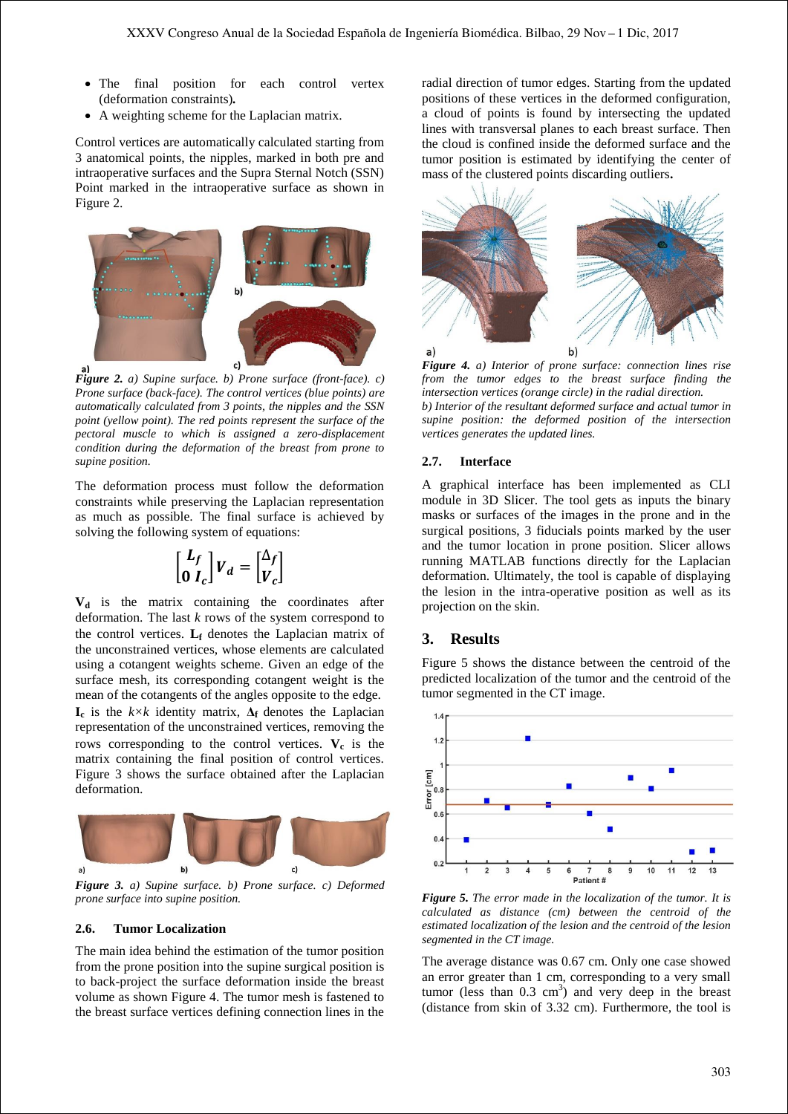- The final position for each control vertex (deformation constraints)*.*
- A weighting scheme for the Laplacian matrix.

Control vertices are automatically calculated starting from 3 anatomical points, the nipples, marked in both pre and intraoperative surfaces and the Supra Sternal Notch (SSN) Point marked in the intraoperative surface as shown in Figure 2.



*Figure 2. a) Supine surface. b) Prone surface (front-face). c) Prone surface (back-face). The control vertices (blue points) are automatically calculated from 3 points, the nipples and the SSN point (yellow point). The red points represent the surface of the pectoral muscle to which is assigned a zero-displacement condition during the deformation of the breast from prone to supine position.* 

The deformation process must follow the deformation constraints while preserving the Laplacian representation as much as possible. The final surface is achieved by solving the following system of equations:

$$
\begin{bmatrix} L_f \\ 0 & I_c \end{bmatrix} V_d = \begin{bmatrix} \Delta_f \\ V_c \end{bmatrix}
$$

**V<sup>d</sup>** is the matrix containing the coordinates after deformation. The last *k* rows of the system correspond to the control vertices. **L<sup>f</sup>** denotes the Laplacian matrix of the unconstrained vertices, whose elements are calculated using a cotangent weights scheme. Given an edge of the surface mesh, its corresponding cotangent weight is the mean of the cotangents of the angles opposite to the edge. **I**<sub>c</sub> is the  $k \times k$  identity matrix,  $\Delta_f$  denotes the Laplacian representation of the unconstrained vertices, removing the rows corresponding to the control vertices. **V<sup>c</sup>** is the matrix containing the final position of control vertices. Figure 3 shows the surface obtained after the Laplacian deformation.



*Figure 3. a) Supine surface. b) Prone surface. c) Deformed prone surface into supine position.*

#### **2.6. Tumor Localization**

The main idea behind the estimation of the tumor position from the prone position into the supine surgical position is to back-project the surface deformation inside the breast volume as shown Figure 4. The tumor mesh is fastened to the breast surface vertices defining connection lines in the radial direction of tumor edges. Starting from the updated positions of these vertices in the deformed configuration, a cloud of points is found by intersecting the updated lines with transversal planes to each breast surface. Then the cloud is confined inside the deformed surface and the tumor position is estimated by identifying the center of mass of the clustered points discarding outliers**.**



*Figure 4. a) Interior of prone surface: connection lines rise from the tumor edges to the breast surface finding the intersection vertices (orange circle) in the radial direction. b) Interior of the resultant deformed surface and actual tumor in supine position: the deformed position of the intersection vertices generates the updated lines.* 

#### **2.7. Interface**

A graphical interface has been implemented as CLI module in 3D Slicer. The tool gets as inputs the binary masks or surfaces of the images in the prone and in the surgical positions, 3 fiducials points marked by the user and the tumor location in prone position. Slicer allows running MATLAB functions directly for the Laplacian deformation. Ultimately, the tool is capable of displaying the lesion in the intra-operative position as well as its projection on the skin.

#### **3. Results**

Figure 5 shows the distance between the centroid of the predicted localization of the tumor and the centroid of the tumor segmented in the CT image.



*Figure 5. The error made in the localization of the tumor. It is calculated as distance (cm) between the centroid of the estimated localization of the lesion and the centroid of the lesion segmented in the CT image.*

The average distance was 0.67 cm. Only one case showed an error greater than 1 cm, corresponding to a very small tumor (less than  $0.3 \text{ cm}^3$ ) and very deep in the breast (distance from skin of 3.32 cm). Furthermore, the tool is